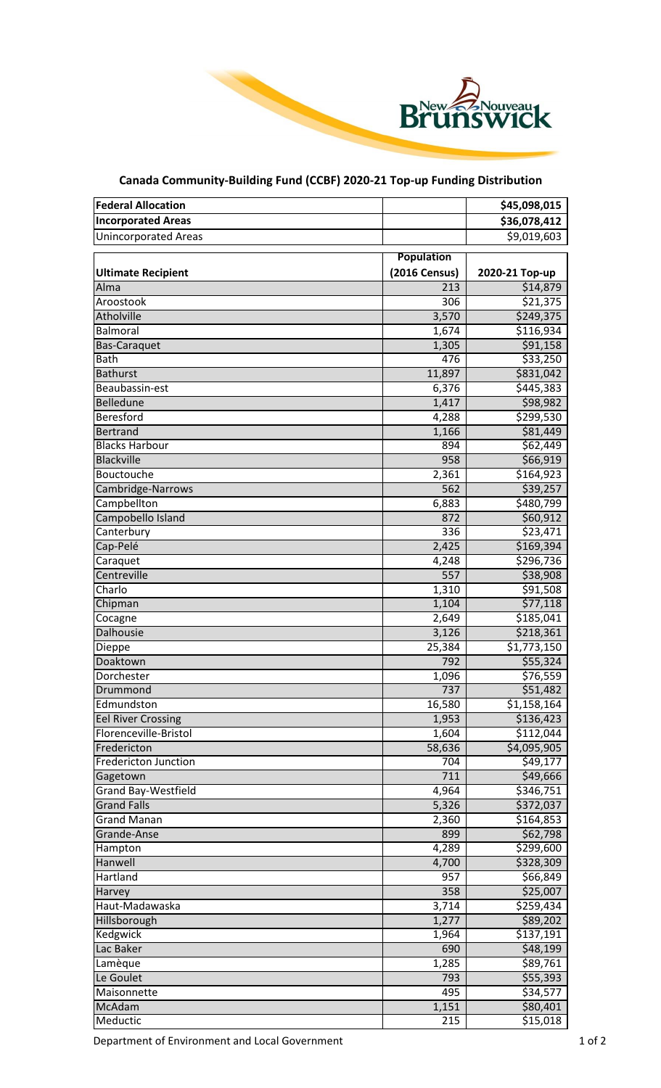

## **Canada Community-Building Fund (CCBF) 2020-21 Top-up Funding Distribution**

| <b>Federal Allocation</b>   |                   | \$45,098,015   |
|-----------------------------|-------------------|----------------|
| <b>Incorporated Areas</b>   |                   | \$36,078,412   |
| <b>Unincorporated Areas</b> |                   | \$9,019,603    |
|                             |                   |                |
|                             | <b>Population</b> |                |
| <b>Ultimate Recipient</b>   | (2016 Census)     | 2020-21 Top-up |
| Alma                        | 213               | \$14,879       |
| Aroostook                   | 306               | \$21,375       |
| Atholville                  | 3,570             | \$249,375      |
| Balmoral                    | 1,674             | \$116,934      |
| <b>Bas-Caraquet</b>         | 1,305             | \$91,158       |
| Bath                        | 476               | \$33,250       |
| <b>Bathurst</b>             | 11,897            | \$831,042      |
| Beaubassin-est              | 6,376             | \$445,383      |
| Belledune                   | 1,417             | \$98,982       |
| Beresford                   | 4,288             | \$299,530      |
| <b>Bertrand</b>             | 1,166             | \$81,449       |
| <b>Blacks Harbour</b>       | 894               | \$62,449       |
| <b>Blackville</b>           | 958               | \$66,919       |
| Bouctouche                  | 2,361             | \$164,923      |
| Cambridge-Narrows           | 562               | \$39,257       |
| Campbellton                 | 6,883             | \$480,799      |
| Campobello Island           | 872               | \$60,912       |
| Canterbury                  | 336               | \$23,471       |
| Cap-Pelé                    | 2,425             | \$169,394      |
| Caraquet                    | 4,248             | \$296,736      |
| Centreville                 | 557               | \$38,908       |
| Charlo                      | 1,310             | \$91,508       |
| Chipman                     | 1,104             | \$77,118       |
| Cocagne                     | 2,649             | \$185,041      |
| <b>Dalhousie</b>            | 3,126             | \$218,361      |
| Dieppe                      | 25,384            | \$1,773,150    |
| Doaktown                    | 792               | \$55,324       |
| Dorchester                  | 1,096             | \$76,559       |
| Drummond                    | 737               | \$51,482       |
| Edmundston                  | 16,580            | \$1,158,164    |
| <b>Eel River Crossing</b>   | 1,953             | \$136,423      |
| Florenceville-Bristol       | 1,604             | \$112,044      |
| Fredericton                 | 58,636            | \$4,095,905    |
| <b>Fredericton Junction</b> | 704               | \$49,177       |
| Gagetown                    | 711               | \$49,666       |
| Grand Bay-Westfield         | 4,964             | \$346,751      |
| <b>Grand Falls</b>          | 5,326             | \$372,037      |
| <b>Grand Manan</b>          | 2,360             | \$164,853      |
| Grande-Anse                 | 899               | \$62,798       |
| Hampton                     | 4,289             | \$299,600      |
| Hanwell                     | 4,700             | \$328,309      |
| Hartland                    | 957               | \$66,849       |
| Harvey                      | 358               | \$25,007       |
| Haut-Madawaska              | 3,714             | \$259,434      |
| Hillsborough                | 1,277             | \$89,202       |
| Kedgwick                    | 1,964             | \$137,191      |
| Lac Baker                   | 690               | \$48,199       |
| Lamèque                     | 1,285             | \$89,761       |
| Le Goulet                   | 793               | \$55,393       |
| Maisonnette                 | 495               | \$34,577       |
| McAdam                      | 1,151             | \$80,401       |
| Meductic                    | 215               | \$15,018       |